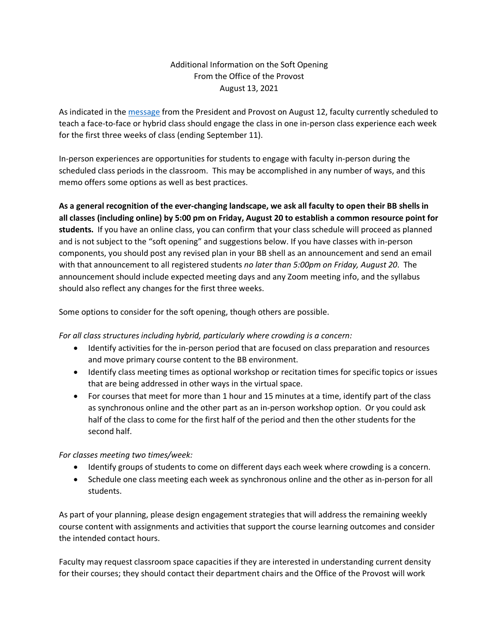## Additional Information on the Soft Opening From the Office of the Provost August 13, 2021

As indicated in the message from the President and Provost on August 12, faculty currently scheduled to teach a face-to-face or hybrid class should engage the class in one in-person class experience each week for the first three weeks of class (ending September 11).

In-person experiences are opportunities for students to engage with faculty in-person during the scheduled class periods in the classroom. This may be accomplished in any number of ways, and this memo offers some options as well as best practices.

**As a general recognition of the ever-changing landscape, we ask all faculty to open their BB shells in all classes (including online) by 5:00 pm on Friday, August 20 to establish a common resource point for students.** If you have an online class, you can confirm that your class schedule will proceed as planned and is not subject to the "soft opening" and suggestions below. If you have classes with in-person components, you should post any revised plan in your BB shell as an announcement and send an email with that announcement to all registered students *no later than 5:00pm on Friday, August 20*. The announcement should include expected meeting days and any Zoom meeting info, and the syllabus should also reflect any changes for the first three weeks.

Some options to consider for the soft opening, though others are possible.

*For all class structures including hybrid, particularly where crowding is a concern:*

- Identify activities for the in-person period that are focused on class preparation and resources and move primary course content to the BB environment.
- Identify class meeting times as optional workshop or recitation times for specific topics or issues that are being addressed in other ways in the virtual space.
- For courses that meet for more than 1 hour and 15 minutes at a time, identify part of the class as synchronous online and the other part as an in-person workshop option. Or you could ask half of the class to come for the first half of the period and then the other students for the second half.

*For classes meeting two times/week:*

- Identify groups of students to come on different days each week where crowding is a concern.
- Schedule one class meeting each week as synchronous online and the other as in-person for all students.

As part of your planning, please design engagement strategies that will address the remaining weekly course content with assignments and activities that support the course learning outcomes and consider the intended contact hours.

Faculty may request classroom space capacities if they are interested in understanding current density for their courses; they should contact their department chairs and the Office of the Provost will work